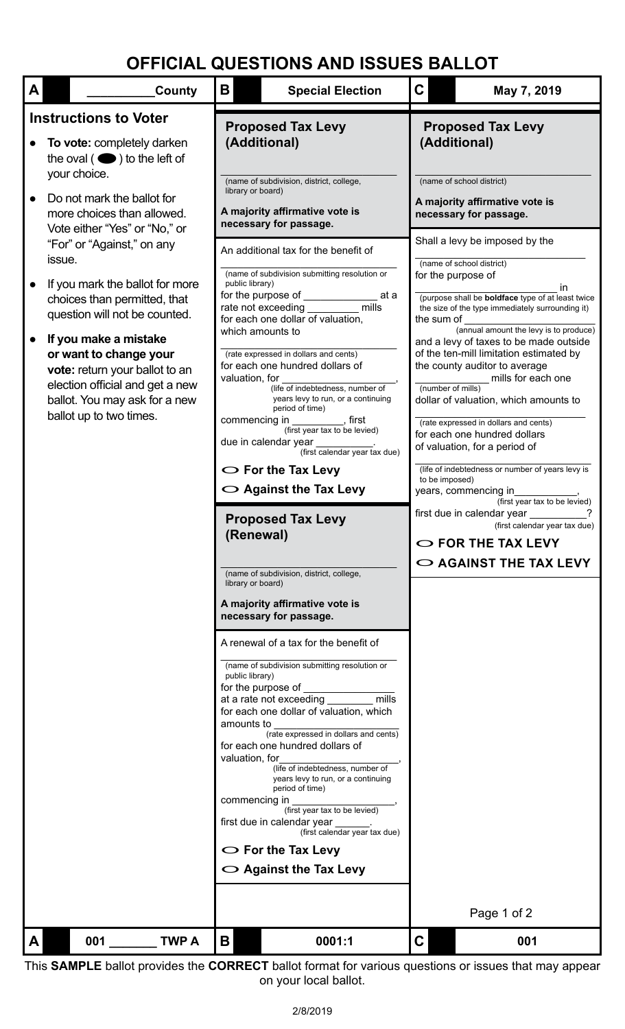## **OFFICIAL QUESTIONS AND ISSUES BALLOT**

| $\mathbf{A}$ | County                                                                                                                                                                                                                                                                                                                                                        | Β                                                                                                                                           | <b>Special Election</b>                                                                                                                                                                                                                                                                                                                                                                                                                                                                                                                                                                                                                                                                                                                                                                                                                                                                                                                                                                                                                                                                                                                                                                                                                                                                                                 | $\mathbf C$                                                                                                                       | May 7, 2019                                                                                                                                                                                                                                                                                                                                                                                                                                                                                                                                                                                                                                                                                                                                                                                                 |
|--------------|---------------------------------------------------------------------------------------------------------------------------------------------------------------------------------------------------------------------------------------------------------------------------------------------------------------------------------------------------------------|---------------------------------------------------------------------------------------------------------------------------------------------|-------------------------------------------------------------------------------------------------------------------------------------------------------------------------------------------------------------------------------------------------------------------------------------------------------------------------------------------------------------------------------------------------------------------------------------------------------------------------------------------------------------------------------------------------------------------------------------------------------------------------------------------------------------------------------------------------------------------------------------------------------------------------------------------------------------------------------------------------------------------------------------------------------------------------------------------------------------------------------------------------------------------------------------------------------------------------------------------------------------------------------------------------------------------------------------------------------------------------------------------------------------------------------------------------------------------------|-----------------------------------------------------------------------------------------------------------------------------------|-------------------------------------------------------------------------------------------------------------------------------------------------------------------------------------------------------------------------------------------------------------------------------------------------------------------------------------------------------------------------------------------------------------------------------------------------------------------------------------------------------------------------------------------------------------------------------------------------------------------------------------------------------------------------------------------------------------------------------------------------------------------------------------------------------------|
|              | <b>Instructions to Voter</b><br>To vote: completely darken<br>the oval $($ $\bullet)$ to the left of<br>your choice.<br>Do not mark the ballot for<br>more choices than allowed.                                                                                                                                                                              | <b>Proposed Tax Levy</b><br>(Additional)<br>(name of subdivision, district, college,<br>library or board)<br>A majority affirmative vote is |                                                                                                                                                                                                                                                                                                                                                                                                                                                                                                                                                                                                                                                                                                                                                                                                                                                                                                                                                                                                                                                                                                                                                                                                                                                                                                                         | <b>Proposed Tax Levy</b><br>(Additional)<br>(name of school district)<br>A majority affirmative vote is<br>necessary for passage. |                                                                                                                                                                                                                                                                                                                                                                                                                                                                                                                                                                                                                                                                                                                                                                                                             |
|              | Vote either "Yes" or "No," or<br>"For" or "Against," on any<br>issue.<br>If you mark the ballot for more<br>choices than permitted, that<br>question will not be counted.<br>If you make a mistake<br>or want to change your<br>vote: return your ballot to an<br>election official and get a new<br>ballot. You may ask for a new<br>ballot up to two times. | public library)<br>valuation, for<br>(Renewal)<br>library or board)<br>public library)<br>amounts to<br>valuation, for<br>commencing in     | necessary for passage.<br>An additional tax for the benefit of<br>(name of subdivision submitting resolution or<br>for the purpose of <b>contract to the purpose of</b><br>at a<br>mills<br>rate not exceeding<br>for each one dollar of valuation,<br>which amounts to<br>(rate expressed in dollars and cents)<br>for each one hundred dollars of<br>(life of indebtedness, number of<br>years levy to run, or a continuing<br>period of time)<br>commencing in __________, first<br>(first year tax to be levied)<br>due in calendar year<br>(first calendar year tax due)<br>$\bigcirc$ For the Tax Levy<br>$\bigcirc$ Against the Tax Levy<br><b>Proposed Tax Levy</b><br>(name of subdivision, district, college,<br>A majority affirmative vote is<br>necessary for passage.<br>A renewal of a tax for the benefit of<br>(name of subdivision submitting resolution or<br>for the purpose of<br>mills<br>at a rate not exceeding<br>for each one dollar of valuation, which<br>(rate expressed in dollars and cents)<br>for each one hundred dollars of<br>(life of indebtedness, number of<br>years levy to run, or a continuing<br>period of time)<br>(first year tax to be levied)<br>first due in calendar year<br>(first calendar year tax due)<br>$\circ$ For the Tax Levy<br>$\circ$ Against the Tax Levy | the sum of<br>(number of mills)<br>to be imposed)                                                                                 | Shall a levy be imposed by the<br>(name of school district)<br>for the purpose of<br>in.<br>(purpose shall be <b>boldface</b> type of at least twice<br>the size of the type immediately surrounding it)<br>(annual amount the levy is to produce)<br>and a levy of taxes to be made outside<br>of the ten-mill limitation estimated by<br>the county auditor to average<br>mills for each one<br>dollar of valuation, which amounts to<br>(rate expressed in dollars and cents)<br>for each one hundred dollars<br>of valuation, for a period of<br>(life of indebtedness or number of years levy is<br>years, commencing in<br>(first year tax to be levied)<br>first due in calendar year<br>(first calendar year tax due)<br>$\bigcirc$ FOR THE TAX LEVY<br>$\circ$ AGAINST THE TAX LEVY<br>Page 1 of 2 |
|              | 001<br><b>TWP A</b>                                                                                                                                                                                                                                                                                                                                           | Β                                                                                                                                           | 0001:1                                                                                                                                                                                                                                                                                                                                                                                                                                                                                                                                                                                                                                                                                                                                                                                                                                                                                                                                                                                                                                                                                                                                                                                                                                                                                                                  | C                                                                                                                                 | 001                                                                                                                                                                                                                                                                                                                                                                                                                                                                                                                                                                                                                                                                                                                                                                                                         |

This **SAMPLE** ballot provides the **CORRECT** ballot format for various questions or issues that may appear on your local ballot.